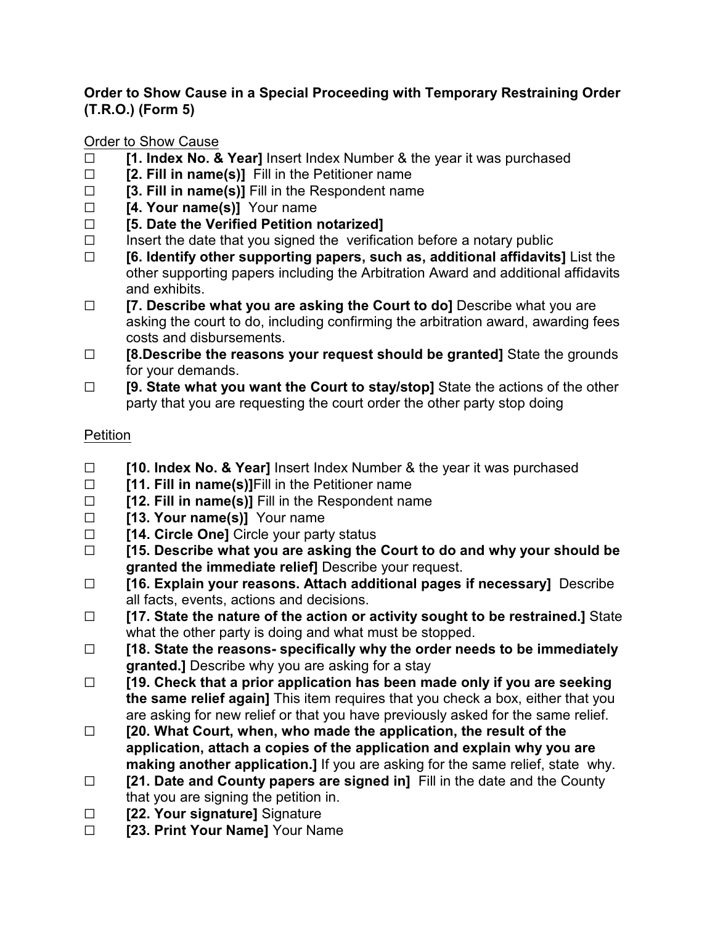## **Order to Show Cause in a Special Proceeding with Temporary Restraining Order (T.R.O.) (Form 5)**

## Order to Show Cause

- □ **[1. Index No. & Year]** Insert Index Number & the year it was purchased
- G **[2. Fill in name(s)]** Fill in the Petitioner name
- G **[3. Fill in name(s)]** Fill in the Respondent name
- □ **[4. Your name(s)]** Your name
- G **[5. Date the Verified Petition notarized]**
- $\Box$  Insert the date that you signed the verification before a notary public
- G **[6. Identify other supporting papers, such as, additional affidavits]** List the other supporting papers including the Arbitration Award and additional affidavits and exhibits.
- □ **[7. Describe what you are asking the Court to do**] Describe what you are asking the court to do, including confirming the arbitration award, awarding fees costs and disbursements.
- □ **[8.Describe the reasons your request should be granted]** State the grounds for your demands.
- □ **[9. State what you want the Court to stay/stop]** State the actions of the other party that you are requesting the court order the other party stop doing

## Petition

- G **[10. Index No. & Year]** Insert Index Number & the year it was purchased
- **C** [11. Fill in name(s)] Fill in the Petitioner name
- □ **[12. Fill in name(s)]** Fill in the Respondent name
- □ **[13. Your name(s)]** Your name
- □ **[14. Circle One]** Circle your party status
- G **[15. Describe what you are asking the Court to do and why your should be granted the immediate relief]** Describe your request.
- G **[16. Explain your reasons. Attach additional pages if necessary]** Describe all facts, events, actions and decisions.
- G **[17. State the nature of the action or activity sought to be restrained.]** State what the other party is doing and what must be stopped.
- G **[18. State the reasons- specifically why the order needs to be immediately granted.]** Describe why you are asking for a stay
- G **[19. Check that a prior application has been made only if you are seeking the same relief again]** This item requires that you check a box, either that you are asking for new relief or that you have previously asked for the same relief.
- G **[20. What Court, when, who made the application, the result of the application, attach a copies of the application and explain why you are making another application.]** If you are asking for the same relief, state why.
- □ **[21. Date and County papers are signed in]** Fill in the date and the County that you are signing the petition in.
- **Example 122. Your signature** Signature
- G **[23. Print Your Name]** Your Name